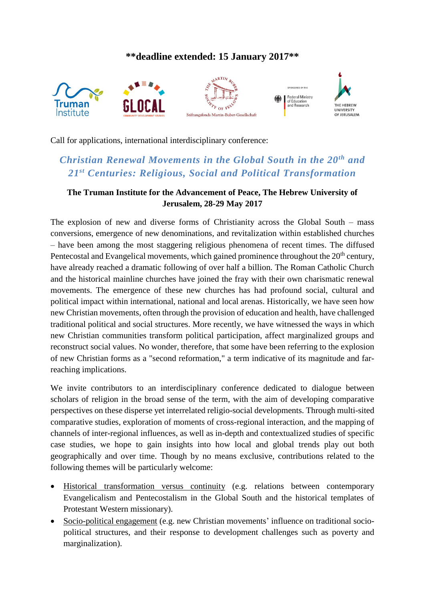## **\*\*deadline extended: 15 January 2017\*\***



Call for applications, international interdisciplinary conference:

## *Christian Renewal Movements in the Global South in the 20th and 21st Centuries: Religious, Social and Political Transformation*

## **The Truman Institute for the Advancement of Peace, The Hebrew University of Jerusalem, 28-29 May 2017**

The explosion of new and diverse forms of Christianity across the Global South – mass conversions, emergence of new denominations, and revitalization within established churches – have been among the most staggering religious phenomena of recent times. The diffused Pentecostal and Evangelical movements, which gained prominence throughout the  $20<sup>th</sup>$  century, have already reached a dramatic following of over half a billion. The Roman Catholic Church and the historical mainline churches have joined the fray with their own charismatic renewal movements. The emergence of these new churches has had profound social, cultural and political impact within international, national and local arenas. Historically, we have seen how new Christian movements, often through the provision of education and health, have challenged traditional political and social structures. More recently, we have witnessed the ways in which new Christian communities transform political participation, affect marginalized groups and reconstruct social values. No wonder, therefore, that some have been referring to the explosion of new Christian forms as a "second reformation," a term indicative of its magnitude and farreaching implications.

We invite contributors to an interdisciplinary conference dedicated to dialogue between scholars of religion in the broad sense of the term, with the aim of developing comparative perspectives on these disperse yet interrelated religio-social developments. Through multi-sited comparative studies, exploration of moments of cross-regional interaction, and the mapping of channels of inter-regional influences, as well as in-depth and contextualized studies of specific case studies, we hope to gain insights into how local and global trends play out both geographically and over time. Though by no means exclusive, contributions related to the following themes will be particularly welcome:

- Historical transformation versus continuity (e.g. relations between contemporary Evangelicalism and Pentecostalism in the Global South and the historical templates of Protestant Western missionary).
- Socio-political engagement (e.g. new Christian movements' influence on traditional sociopolitical structures, and their response to development challenges such as poverty and marginalization).